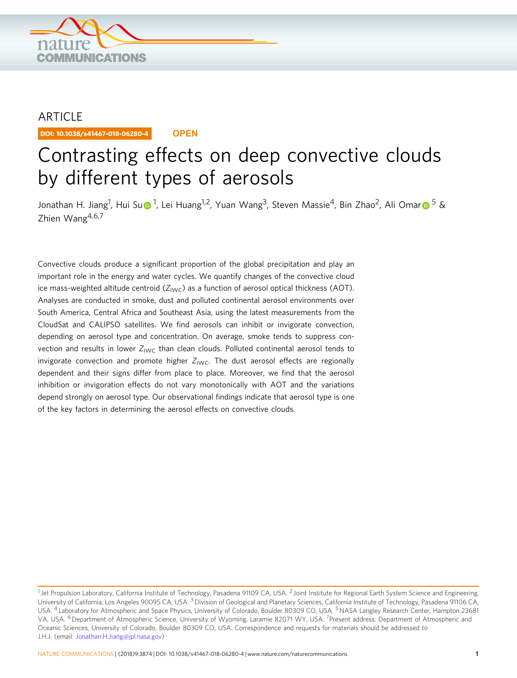

## ARTICLE

DOI: 10.1038/s41467-018-06280-4 **OPEN**

# Contrasting effects on deep convective clouds by different types of aerosols

Jonathan H. Jiang<s[u](http://orcid.org/0000-0003-1265-9702)p>[1](http://orcid.org/0000-0003-1265-9702)</sup>, Hui Su⊕<sup>1</sup>, Lei Huang<sup>1,2</sup>, Yuan Wang<sup>3</sup>, Steven Massie<sup>4</sup>, Bin Zhao<sup>2</sup>, Ali Oma[r](http://orcid.org/0000-0003-1871-9235)⊕<sup>[5](http://orcid.org/0000-0003-1871-9235)</sup> & Zhien Wang $4,6,7$ 

Convective clouds produce a significant proportion of the global precipitation and play an important role in the energy and water cycles. We quantify changes of the convective cloud ice mass-weighted altitude centroid ( $Z_{\text{IWC}}$ ) as a function of aerosol optical thickness (AOT). Analyses are conducted in smoke, dust and polluted continental aerosol environments over South America, Central Africa and Southeast Asia, using the latest measurements from the CloudSat and CALIPSO satellites. We find aerosols can inhibit or invigorate convection, depending on aerosol type and concentration. On average, smoke tends to suppress convection and results in lower  $Z_{\text{IWC}}$  than clean clouds. Polluted continental aerosol tends to invigorate convection and promote higher  $Z_{\text{IWC}}$ . The dust aerosol effects are regionally dependent and their signs differ from place to place. Moreover, we find that the aerosol inhibition or invigoration effects do not vary monotonically with AOT and the variations depend strongly on aerosol type. Our observational findings indicate that aerosol type is one of the key factors in determining the aerosol effects on convective clouds.

<sup>&</sup>lt;sup>1</sup> Jet Propulsion Laboratory, California Institute of Technology, Pasadena 91109 CA, USA. <sup>2</sup> Joint Institute for Regional Earth System Science and Engineering, University of California, Los Angeles 90095 CA, USA. <sup>3</sup> Division of Geological and Planetary Sciences, California Institute of Technology, Pasadena 91106 CA, USA. <sup>4</sup> Laboratory for Atmospheric and Space Physics, University of Colorado, Boulder 80309 CO, USA. <sup>5</sup>NASA Langley Research Center, Hampton 23681 VA, USA. <sup>6</sup> Department of Atmospheric Science, University of Wyoming, Laramie 82071 WY, USA. <sup>7</sup>Present address: Department of Atmospheric and Oceanic Sciences, University of Colorado, Boulder 80309 CO, USA. Correspondence and requests for materials should be addressed to J.H.J. (email: [Jonathan.H.Jiang@jpl.nasa.gov](mailto:Jonathan.H.Jiang@jpl.nasa.gov))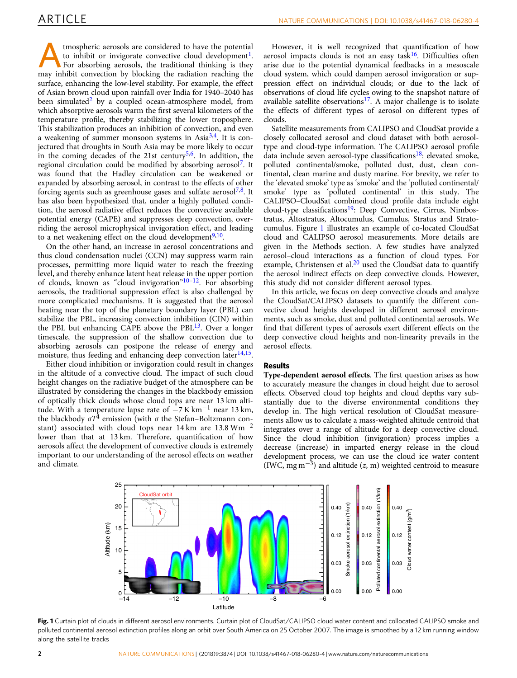<span id="page-1-0"></span>Atmospheric aerosols are considered to have the potential<br>to inhibit or invigorate convective cloud development<sup>1</sup>.<br>For absorbing aerosols, the traditional thinking is they<br>may inhibit convection by blocking the radiation to inhibit or invigorate convective cloud development<sup>1</sup>. may inhibit convection by blocking the radiation reaching the surface, enhancing the low-level stability. For example, the effect of Asian brown cloud upon rainfall over India for 1940–2040 has been simulated<sup>[2](#page-5-0)</sup> by a coupled ocean-atmosphere model, from which absorptive aerosols warm the first several kilometers of the temperature profile, thereby stabilizing the lower troposphere. This stabilization produces an inhibition of convection, and even a weakening of summer monsoon systems in Asi $a^{3,4}$  $a^{3,4}$  $a^{3,4}$ . It is conjectured that droughts in South Asia may be more likely to occur in the coming decades of the 21st century<sup>5,6</sup>. In addition, the regional circulation could be modified by absorbing aerosol<sup>7</sup>. It was found that the Hadley circulation can be weakened or expanded by absorbing aerosol, in contrast to the effects of other forcing agents such as greenhouse gases and sulfate aerosol<sup>[7](#page-5-0),[8](#page-5-0)</sup>. It has also been hypothesized that, under a highly polluted condition, the aerosol radiative effect reduces the convective available potential energy (CAPE) and suppresses deep convection, overriding the aerosol microphysical invigoration effect, and leading to a net weakening effect on the cloud development $9,10$ .

On the other hand, an increase in aerosol concentrations and thus cloud condensation nuclei (CCN) may suppress warm rain processes, permitting more liquid water to reach the freezing level, and thereby enhance latent heat release in the upper portion of clouds, known as "cloud invigoration"<sup>[10](#page-5-0)–[12](#page-5-0)</sup>. For absorbing aerosols, the traditional suppression effect is also challenged by more complicated mechanisms. It is suggested that the aerosol heating near the top of the planetary boundary layer (PBL) can stabilize the PBL, increasing convection inhibition (CIN) within the PBL but enhancing CAPE above the PBL $^{13}$ . Over a longer timescale, the suppression of the shallow convection due to absorbing aerosols can postpone the release of energy and moisture, thus feeding and enhancing deep convection later $14,15$ .

Either cloud inhibition or invigoration could result in changes in the altitude of a convective cloud. The impact of such cloud height changes on the radiative budget of the atmosphere can be illustrated by considering the changes in the blackbody emission of optically thick clouds whose cloud tops are near 13 km altitude. With a temperature lapse rate of  $-7$  K km<sup>-1</sup> near 13 km, the blackbody  $\sigma T^4$  emission (with  $\sigma$  the Stefan–Boltzmann constant) associated with cloud tops near 14 km are 13.8  $Wm^{-2}$ lower than that at 13 km. Therefore, quantification of how aerosols affect the development of convective clouds is extremely important to our understanding of the aerosol effects on weather and climate.

However, it is well recognized that quantification of how aerosol impacts clouds is not an easy task<sup>[16](#page-5-0)</sup>. Difficulties often arise due to the potential dynamical feedbacks in a mesoscale cloud system, which could dampen aerosol invigoration or suppression effect on individual clouds; or due to the lack of observations of cloud life cycles owing to the snapshot nature of available satellite observations<sup>17</sup>. A major challenge is to isolate the effects of different types of aerosol on different types of clouds.

Satellite measurements from CALIPSO and CloudSat provide a closely collocated aerosol and cloud dataset with both aerosoltype and cloud-type information. The CALIPSO aerosol profile data include seven aerosol-type classifications<sup>[18](#page-5-0)</sup>: elevated smoke, polluted continental/smoke, polluted dust, dust, clean continental, clean marine and dusty marine. For brevity, we refer to the 'elevated smoke' type as 'smoke' and the 'polluted continental/ smoke' type as 'polluted continental' in this study. The CALIPSO–CloudSat combined cloud profile data include eight cloud-type classifications<sup>19</sup>: Deep Convective, Cirrus, Nimbostratus, Altostratus, Altocumulus, Cumulus, Stratus and Stratocumulus. Figure 1 illustrates an example of co-located CloudSat cloud and CALIPSO aerosol measurements. More details are given in the Methods section. A few studies have analyzed aerosol–cloud interactions as a function of cloud types. For example, Christensen et al. $^{20}$  $^{20}$  $^{20}$  used the CloudSat data to quantify the aerosol indirect effects on deep convective clouds. However, this study did not consider different aerosol types.

In this article, we focus on deep convective clouds and analyze the CloudSat/CALIPSO datasets to quantify the different convective cloud heights developed in different aerosol environments, such as smoke, dust and polluted continental aerosols. We find that different types of aerosols exert different effects on the deep convective cloud heights and non-linearity prevails in the aerosol effects.

#### Results

Type-dependent aerosol effects. The first question arises as how to accurately measure the changes in cloud height due to aerosol effects. Observed cloud top heights and cloud depths vary substantially due to the diverse environmental conditions they develop in. The high vertical resolution of CloudSat measurements allow us to calculate a mass-weighted altitude centroid that integrates over a range of altitude for a deep convective cloud. Since the cloud inhibition (invigoration) process implies a decrease (increase) in imparted energy release in the cloud development process, we can use the cloud ice water content (IWC, mg m<sup>-3</sup>) and altitude (z, m) weighted centroid to measure



Fig. 1 Curtain plot of clouds in different aerosol environments. Curtain plot of CloudSat/CALIPSO cloud water content and collocated CALIPSO smoke and polluted continental aerosol extinction profiles along an orbit over South America on 25 October 2007. The image is smoothed by a 12 km running window along the satellite tracks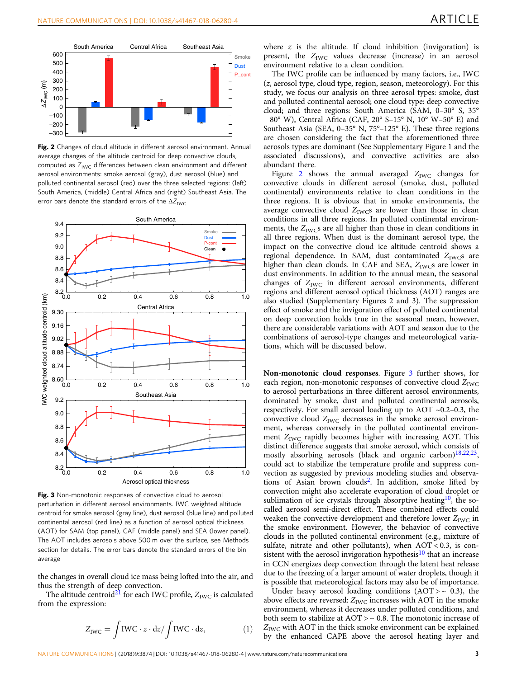<span id="page-2-0"></span>

Fig. 2 Changes of cloud altitude in different aerosol environment. Annual average changes of the altitude centroid for deep convective clouds, computed as  $Z_{\text{IWC}}$  differences between clean environment and different aerosol environments: smoke aerosol (gray), dust aerosol (blue) and polluted continental aerosol (red) over the three selected regions: (left) South America, (middle) Central Africa and (right) Southeast Asia. The error bars denote the standard errors of the  $\Delta Z_{\rm IWC}$ 



Fig. 3 Non-monotonic responses of convective cloud to aerosol perturbation in different aerosol environments. IWC weighted altitude centroid for smoke aerosol (gray line), dust aerosol (blue line) and polluted continental aerosol (red line) as a function of aerosol optical thickness (AOT) for SAM (top panel), CAF (middle panel) and SEA (lower panel). The AOT includes aerosols above 500 m over the surface, see Methods section for details. The error bars denote the standard errors of the bin average

the changes in overall cloud ice mass being lofted into the air, and thus the strength of deep convection.

The altitude centroid<sup>[21](#page-5-0)</sup> for each IWC profile,  $Z_{\text{IWC}}$  is calculated from the expression:

$$
Z_{\rm IWC} = \int \text{IWC} \cdot z \cdot dz / \int \text{IWC} \cdot dz, \tag{1}
$$

where  $z$  is the altitude. If cloud inhibition (invigoration) is present, the  $Z_{\text{IWC}}$  values decrease (increase) in an aerosol environment relative to a clean condition.

The IWC profile can be influenced by many factors, i.e., IWC (z, aerosol type, cloud type, region, season, meteorology). For this study, we focus our analysis on three aerosol types: smoke, dust and polluted continental aerosol; one cloud type: deep convective cloud; and three regions: South America (SAM, 0–30° S, 35° −80° W), Central Africa (CAF, 20° S–15° N, 10° W–50° E) and Southeast Asia (SEA, 0–35° N, 75°–125° E). These three regions are chosen considering the fact that the aforementioned three aerosols types are dominant (See Supplementary Figure 1 and the associated discussions), and convective activities are also abundant there.

Figure 2 shows the annual averaged  $Z_{\text{IWC}}$  changes for convective clouds in different aerosol (smoke, dust, polluted continental) environments relative to clean conditions in the three regions. It is obvious that in smoke environments, the average convective cloud  $Z_{\text{IWC}}s$  are lower than those in clean conditions in all three regions. In polluted continental environments, the  $Z_{\text{IWC}}$ s are all higher than those in clean conditions in all three regions. When dust is the dominant aerosol type, the impact on the convective cloud ice altitude centroid shows a regional dependence. In SAM, dust contaminated  $Z_{\text{IWC}}$ s are higher than clean clouds. In CAF and SEA, Z<sub>IWC</sub>s are lower in dust environments. In addition to the annual mean, the seasonal changes of  $Z_{\text{IWC}}$  in different aerosol environments, different regions and different aerosol optical thickness (AOT) ranges are also studied (Supplementary Figures 2 and 3). The suppression effect of smoke and the invigoration effect of polluted continental on deep convection holds true in the seasonal mean, however, there are considerable variations with AOT and season due to the combinations of aerosol-type changes and meteorological variations, which will be discussed below.

Non-monotonic cloud responses. Figure 3 further shows, for each region, non-monotonic responses of convective cloud  $Z_{\text{IWC}}$ to aerosol perturbations in three different aerosol environments, dominated by smoke, dust and polluted continental aerosols, respectively. For small aerosol loading up to AOT ~0.2–0.3, the convective cloud  $Z_{\text{IWC}}$  decreases in the smoke aerosol environment, whereas conversely in the polluted continental environment  $Z_{\text{IWC}}$  rapidly becomes higher with increasing AOT. This distinct difference suggests that smoke aerosol, which consists of mostly absorbing aerosols (black and organic carbon) $18,22,23$ , could act to stabilize the temperature profile and suppress convection as suggested by previous modeling studies and observations of Asian brown clouds[2.](#page-5-0) In addition, smoke lifted by convection might also accelerate evaporation of cloud droplet or sublimation of ice crystals through absorptive heating<sup>[10](#page-5-0)</sup>, the socalled aerosol semi-direct effect. These combined effects could weaken the convective development and therefore lower  $Z_{\text{IWC}}$  in the smoke environment. However, the behavior of convective clouds in the polluted continental environment (e.g., mixture of sulfate, nitrate and other pollutants), when  $AOT < 0.3$ , is con-sistent with the aerosol invigoration hypothesis<sup>[10](#page-5-0)</sup> that an increase in CCN energizes deep convection through the latent heat release due to the freezing of a larger amount of water droplets, though it is possible that meteorological factors may also be of importance.

Under heavy aerosol loading conditions ( $AOT > ~ 0.3$ ), the above effects are reversed:  $Z_{\text{IWC}}$  increases with AOT in the smoke environment, whereas it decreases under polluted conditions, and both seem to stabilize at  $AOT > ~ 0.8$ . The monotonic increase of  $Z_{\text{IWC}}$  with AOT in the thick smoke environment can be explained by the enhanced CAPE above the aerosol heating layer and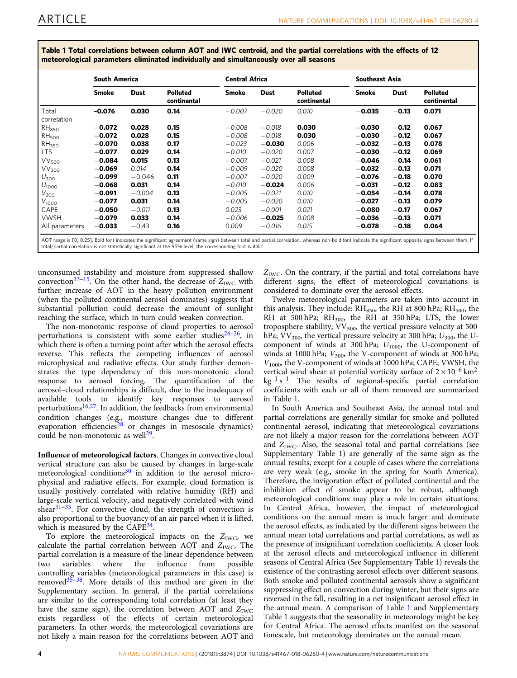<span id="page-3-0"></span>Table 1 Total correlations between column AOT and IWC centroid, and the partial correlations with the effects of 12 meteorological parameters eliminated individually and simultaneously over all seasons

|                   | <b>South America</b> |          |                                | <b>Central Africa</b> |             |                                | <b>Southeast Asia</b> |         |                                |
|-------------------|----------------------|----------|--------------------------------|-----------------------|-------------|--------------------------------|-----------------------|---------|--------------------------------|
|                   | Smoke                | Dust     | <b>Polluted</b><br>continental | Smoke                 | <b>Dust</b> | <b>Polluted</b><br>continental | Smoke                 | Dust    | <b>Polluted</b><br>continental |
| Total             | $-0.076$             | 0.030    | 0.14                           | $-0.007$              | $-0.020$    | 0.010                          | $-0.035$              | $-0.13$ | 0.071                          |
| correlation       |                      |          |                                |                       |             |                                |                       |         |                                |
| RH <sub>850</sub> | $-0.072$             | 0.028    | 0.15                           | $-0.008$              | $-0.018$    | 0.030                          | $-0.030$              | $-0.12$ | 0.067                          |
| RH <sub>500</sub> | $-0.072$             | 0.028    | 0.15                           | $-0.008$              | $-0.018$    | 0.030                          | $-0.030$              | $-0.12$ | 0.067                          |
| RH <sub>350</sub> | $-0.070$             | 0.038    | 0.17                           | $-0.023$              | $-0.030$    | 0.006                          | $-0.032$              | $-0.13$ | 0.078                          |
| <b>LTS</b>        | $-0.077$             | 0.029    | 0.14                           | $-0.010$              | $-0.020$    | 0.007                          | $-0.030$              | $-0.12$ | 0.069                          |
| VV <sub>500</sub> | $-0.084$             | 0.015    | 0.13                           | $-0.007$              | $-0.021$    | 0.008                          | $-0.046$              | $-0.14$ | 0.061                          |
| VV <sub>300</sub> | $-0.069$             | 0.014    | 0.14                           | $-0.009$              | $-0.020$    | 0.008                          | $-0.032$              | $-0.13$ | 0.071                          |
| $U_{300}$         | $-0.099$             | $-0.046$ | 0.11                           | $-0.007$              | $-0.020$    | 0.009                          | $-0.076$              | $-0.18$ | 0.070                          |
| $U_{1000}$        | $-0.068$             | 0.031    | 0.14                           | $-0.010$              | $-0.024$    | 0.006                          | $-0.031$              | $-0.12$ | 0.083                          |
| $V_{300}$         | $-0.091$             | $-0.004$ | 0.13                           | $-0.005$              | $-0.021$    | 0.010                          | $-0.054$              | $-0.14$ | 0.078                          |
| $V_{1000}$        | $-0.077$             | 0.031    | 0.14                           | $-0.005$              | $-0.020$    | 0.010                          | $-0.027$              | $-0.13$ | 0.079                          |
| CAPE              | $-0.050$             | $-0.011$ | 0.13                           | 0.023                 | $-0.001$    | 0.021                          | $-0.080$              | $-0.17$ | 0.067                          |
| <b>VWSH</b>       | $-0.079$             | 0.033    | 0.14                           | $-0.006$              | $-0.025$    | 0.008                          | $-0.036$              | $-0.13$ | 0.071                          |
| All parameters    | $-0.033$             | $-0.43$  | 0.16                           | 0.009                 | $-0.016$    | 0.015                          | $-0.078$              | $-0.18$ | 0.064                          |

unconsumed instability and moisture from suppressed shallow convection<sup>[13](#page-5-0)–[15](#page-5-0)</sup>. On the other hand, the decrease of  $Z_{\text{IWC}}$  with further increase of AOT in the heavy pollution environment (when the polluted continental aerosol dominates) suggests that substantial pollution could decrease the amount of sunlight reaching the surface, which in turn could weaken convection.

The non-monotonic response of cloud properties to aerosol perturbations is consistent with some earlier studies $24-26$  $24-26$  $24-26$ , in which there is often a turning point after which the aerosol effects reverse. This reflects the competing influences of aerosol microphysical and radiative effects. Our study further demonstrates the type dependency of this non-monotonic cloud response to aerosol forcing. The quantification of the aerosol–cloud relationships is difficult, due to the inadequacy of available tools to identify key responses to aerosol perturbations $16,27$ . In addition, the feedbacks from environmental condition changes (e.g., moisture changes due to different evaporation efficiencies<sup>[28](#page-5-0)</sup> or changes in mesoscale dynamics) could be non-monotonic as well<sup>[29](#page-5-0)</sup>.

Influence of meteorological factors. Changes in convective cloud vertical structure can also be caused by changes in large-scale meteorological conditions $30$  in addition to the aerosol microphysical and radiative effects. For example, cloud formation is usually positively correlated with relative humidity (RH) and large-scale vertical velocity, and negatively correlated with wind shear $31-33$  $31-33$  $31-33$ . For convective cloud, the strength of convection is also proportional to the buoyancy of an air parcel when it is lifted, which is measured by the CAPE<sup>[34](#page-5-0)</sup>.

To explore the meteorological impacts on the  $Z_{\text{IWC}}$ , we calculate the partial correlation between AOT and  $Z_{\text{IWC}}$ . The partial correlation is a measure of the linear dependence between two variables where the influence from possible controlling variables (meteorological parameters in this case) is removed[35](#page-5-0)–[38](#page-6-0). More details of this method are given in the Supplementary section. In general, if the partial correlations are similar to the corresponding total correlation (at least they have the same sign), the correlation between AOT and  $Z_{\text{IWC}}$ exists regardless of the effects of certain meteorological parameters. In other words, the meteorological covariations are not likely a main reason for the correlations between AOT and

 $Z_{\text{IWC}}$ . On the contrary, if the partial and total correlations have different signs, the effect of meteorological covariations is considered to dominate over the aerosol effects.

Twelve meteorological parameters are taken into account in this analysis. They include:  $RH<sub>850</sub>$ , the RH at 800 hPa;  $RH<sub>500</sub>$ , the RH at 500 hPa;  $RH_{300}$ , the RH at 350 hPa; LTS, the lower troposphere stability;  $VV_{500}$ , the vertical pressure velocity at 500 hPa;  $VV_{300}$ , the vertical pressure velocity at 300 hPa;  $U_{300}$ , the Ucomponent of winds at 300 hPa;  $U_{1000}$ , the U-component of winds at 1000 hPa;  $V_{300}$ , the V-component of winds at 300 hPa;  $V_{1000}$ , the V-component of winds at 1000 hPa; CAPE; VWSH, the vertical wind shear at potential vorticity surface of  $2 \times 10^{-6}$  km<sup>2</sup>  $kg^{-1} s^{-1}$ . The results of regional-specific partial correlation coefficients with each or all of them removed are summarized in Table 1.

In South America and Southeast Asia, the annual total and partial correlations are generally similar for smoke and polluted continental aerosol, indicating that meteorological covariations are not likely a major reason for the correlations between AOT and  $Z<sub>WC</sub>$ . Also, the seasonal total and partial correlations (see Supplementary Table 1) are generally of the same sign as the annual results, except for a couple of cases where the correlations are very weak (e.g., smoke in the spring for South America). Therefore, the invigoration effect of polluted continental and the inhibition effect of smoke appear to be robust, although meteorological conditions may play a role in certain situations. In Central Africa, however, the impact of meteorological conditions on the annual mean is much larger and dominate the aerosol effects, as indicated by the different signs between the annual mean total correlations and partial correlations, as well as the presence of insignificant correlation coefficients. A closer look at the aerosol effects and meteorological influence in different seasons of Central Africa (See Supplementary Table 1) reveals the existence of the contrasting aerosol effects over different seasons. Both smoke and polluted continental aerosols show a significant suppressing effect on convection during winter, but their signs are reversed in the fall, resulting in a net insignificant aerosol effect in the annual mean. A comparison of Table 1 and Supplementary Table 1 suggests that the seasonality in meteorology might be key for Central Africa. The aerosol effects manifest on the seasonal timescale, but meteorology dominates on the annual mean.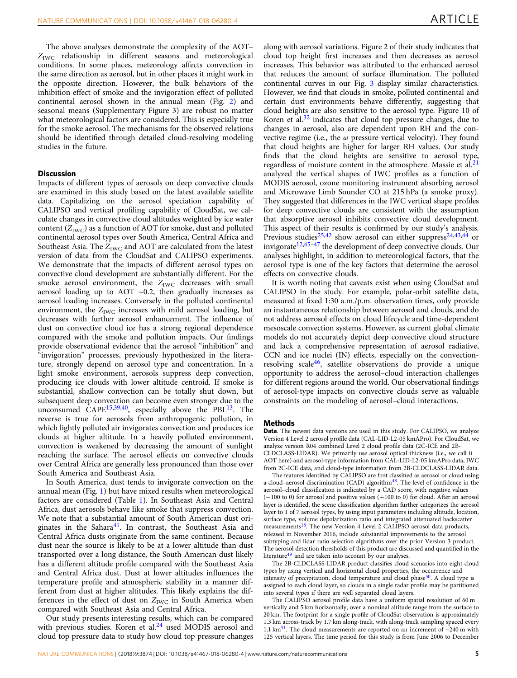The above analyses demonstrate the complexity of the AOT–  $Z_{\text{IWC}}$  relationship in different seasons and meteorological conditions. In some places, meteorology affects convection in the same direction as aerosol, but in other places it might work in the opposite direction. However, the bulk behaviors of the inhibition effect of smoke and the invigoration effect of polluted continental aerosol shown in the annual mean (Fig. [2\)](#page-2-0) and seasonal means (Supplementary Figure 3) are robust no matter what meteorological factors are considered. This is especially true for the smoke aerosol. The mechanisms for the observed relations should be identified through detailed cloud-resolving modeling studies in the future.

### **Discussion**

Impacts of different types of aerosols on deep convective clouds are examined in this study based on the latest available satellite data. Capitalizing on the aerosol speciation capability of CALIPSO and vertical profiling capability of CloudSat, we calculate changes in convective cloud altitudes weighted by ice water content  $(Z<sub>IWC</sub>)$  as a function of AOT for smoke, dust and polluted continental aerosol types over South America, Central Africa and Southeast Asia. The  $Z_{\text{IWC}}$  and AOT are calculated from the latest version of data from the CloudSat and CALIPSO experiments. We demonstrate that the impacts of different aerosol types on convective cloud development are substantially different. For the smoke aerosol environment, the  $Z_{\text{IWC}}$  decreases with small aerosol loading up to AOT  $~0.2$ , then gradually increases as aerosol loading increases. Conversely in the polluted continental environment, the  $Z_{\text{IWC}}$  increases with mild aerosol loading, but decreases with further aerosol enhancement. The influence of dust on convective cloud ice has a strong regional dependence compared with the smoke and pollution impacts. Our findings provide observational evidence that the aerosol "inhibition" and "invigoration" processes, previously hypothesized in the literature, strongly depend on aerosol type and concentration. In a light smoke environment, aerosols suppress deep convection, producing ice clouds with lower altitude centroid. If smoke is substantial, shallow convection can be totally shut down, but subsequent deep convection can become even stronger due to the unconsumed CAPE<sup>[15,](#page-5-0)[39,40](#page-6-0)</sup>, especially above the PBL<sup>13</sup>. The reverse is true for aerosols from anthropogenic pollution, in which lightly polluted air invigorates convection and produces ice clouds at higher altitude. In a heavily polluted environment, convection is weakened by decreasing the amount of sunlight reaching the surface. The aerosol effects on convective clouds over Central Africa are generally less pronounced than those over South America and Southeast Asia.

In South America, dust tends to invigorate convection on the annual mean (Fig. [1](#page-1-0)) but have mixed results when meteorological factors are considered (Table [1\)](#page-3-0). In Southeast Asia and Central Africa, dust aerosols behave like smoke that suppress convection. We note that a substantial amount of South American dust originates in the Sahara $41$ . In contrast, the Southeast Asia and Central Africa dusts originate from the same continent. Because dust near the source is likely to be at a lower altitude than dust transported over a long distance, the South American dust likely has a different altitude profile compared with the Southeast Asia and Central Africa dust. Dust at lower altitudes influences the temperature profile and atmospheric stability in a manner different from dust at higher altitudes. This likely explains the differences in the effect of dust on  $Z_{\text{IWC}}$  in South America when compared with Southeast Asia and Central Africa.

Our study presents interesting results, which can be compared with previous studies. Koren et al.<sup>[24](#page-5-0)</sup> used MODIS aerosol and cloud top pressure data to study how cloud top pressure changes along with aerosol variations. Figure 2 of their study indicates that cloud top height first increases and then decreases as aerosol increases. This behavior was attributed to the enhanced aerosol that reduces the amount of surface illumination. The polluted continental curves in our Fig. [3](#page-2-0) display similar characteristics. However, we find that clouds in smoke, polluted continental and certain dust environments behave differently, suggesting that cloud heights are also sensitive to the aerosol type. Figure 10 of Koren et al. $32$  indicates that cloud top pressure changes, due to changes in aerosol, also are dependent upon RH and the convective regime (i.e., the  $\omega$  pressure vertical velocity). They found that cloud heights are higher for larger RH values. Our study finds that the cloud heights are sensitive to aerosol type, regardless of moisture content in the atmosphere. Massie et al.<sup>21</sup> analyzed the vertical shapes of IWC profiles as a function of MODIS aerosol, ozone monitoring instrument absorbing aerosol and Microwave Limb Sounder CO at 215 hPa (a smoke proxy). They suggested that differences in the IWC vertical shape profiles for deep convective clouds are consistent with the assumption that absorptive aerosol inhibits convective cloud development. This aspect of their results is confirmed by our study's analysis. Previous studies<sup>[25](#page-5-0),[42](#page-6-0)</sup> show aerosol can either suppress<sup>[24,](#page-5-0)[43,44](#page-6-0)</sup> or invigorate<sup>[12](#page-5-0)[,45](#page-6-0)-[47](#page-6-0)</sup> the development of deep convective clouds. Our analyses highlight, in addition to meteorological factors, that the aerosol type is one of the key factors that determine the aerosol effects on convective clouds.

It is worth noting that caveats exist when using CloudSat and CALIPSO in the study. For example, polar-orbit satellite data, measured at fixed 1:30 a.m./p.m. observation times, only provide an instantaneous relationship between aerosol and clouds, and do not address aerosol effects on cloud lifecycle and time-dependent mesoscale convection systems. However, as current global climate models do not accurately depict deep convective cloud structure and lack a comprehensive representation of aerosol radiative, CCN and ice nuclei (IN) effects, especially on the convectionresolving scale<sup>46</sup>, satellite observations do provide a unique opportunity to address the aerosol–cloud interaction challenges for different regions around the world. Our observational findings of aerosol-type impacts on convective clouds serve as valuable constraints on the modeling of aerosol–cloud interactions.

#### Methods

Data. The newest data versions are used in this study. For CALIPSO, we analyze Version 4 Level 2 aerosol profile data (CAL-LID-L2-05 kmAPro). For CloudSat, we analyze version R04 combined Level 2 cloud profile data (2C-ICE and 2B-CLDCLASS-LIDAR). We primarily use aerosol optical thickness (i.e., we call it AOT here) and aerosol-type information from CAL-LID-L2-05 kmAPro data, IWC from 2C-ICE data, and cloud-type information from 2B-CLDCLASS-LIDAR data.

The features identified by CALIPSO are first classified as aerosol or cloud using a cloud–aerosol discrimination (CAD) algorithm<sup>[48](#page-6-0)</sup>. The level of confidence in the aerosol–cloud classification is indicated by a CAD score, with negative values (−100 to 0) for aerosol and positive values (+100 to 0) for cloud. After an aerosol layer is identified, the scene classification algorithm further categorizes the aerosol layer to 1 of 7 aerosol types, by using input parameters including altitude, location, surface type, volume depolarization ratio and integrated attenuated backscatter measurements<sup>18</sup>. The new Version 4 Level 2 CALIPSO aerosol data products, released in November 2016, include substantial improvements to the aerosol subtyping and lidar ratio selection algorithms over the prior Version 3 product. The aerosol detection thresholds of this product are discussed and quantified in the literature<sup>[49](#page-6-0)</sup> and are taken into account by our analyses.

The 2B-CLDCLASS-LIDAR product classifies cloud scenarios into eight cloud types by using vertical and horizontal cloud properties, the occurrence and intensity of precipitation, cloud temperature and cloud phase<sup>[50](#page-6-0)</sup>. A cloud type is assigned to each cloud layer, so clouds in a single radar profile may be partitioned into several types if there are well separated cloud layers.

The CALIPSO aerosol profile data have a uniform spatial resolution of 60 m vertically and 5 km horizontally, over a nominal altitude range from the surface to 20 km. The footprint for a single profile of CloudSat observation is approximately 1.3 km across-track by 1.7 km along-track, with along-track sampling spaced every 1.1 km<sup>[51](#page-6-0)</sup>. The cloud measurements are reported on an increment of  $\sim$ 240 m with 125 vertical layers. The time period for this study is from June 2006 to December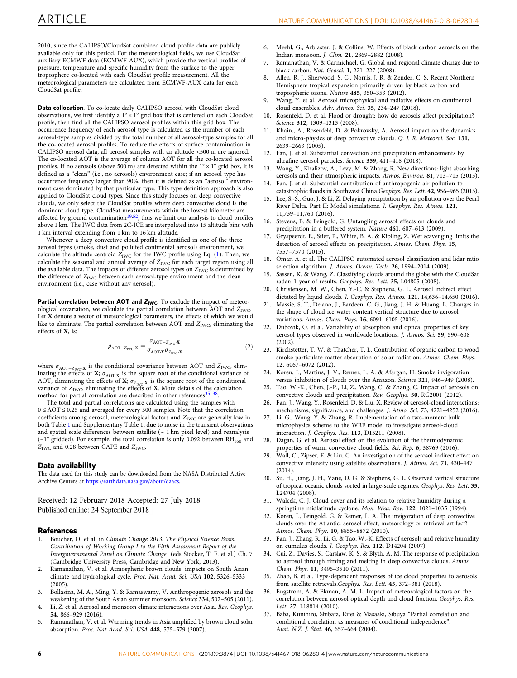<span id="page-5-0"></span>2010, since the CALIPSO/CloudSat combined cloud profile data are publicly available only for this period. For the meteorological fields, we use CloudSat auxiliary ECMWF data (ECMWF-AUX), which provide the vertical profiles of pressure, temperature and specific humidity from the surface to the upper troposphere co-located with each CloudSat profile measurement. All the meteorological parameters are calculated from ECMWF-AUX data for each CloudSat profile.

Data collocation. To co-locate daily CALIPSO aerosol with CloudSat cloud observations, we first identify a  $1^{\circ} \times 1^{\circ}$  grid box that is centered on each CloudSat profile, then find all the CALIPSO aerosol profiles within this grid box. The occurrence frequency of each aerosol type is calculated as the number of each aerosol-type samples divided by the total number of all aerosol-type samples for all the co-located aerosol profiles. To reduce the effects of surface contamination in CALIPSO aerosol data, all aerosol samples with an altitude <500 m are ignored. The co-located AOT is the average of column AOT for all the co-located aerosol profiles. If no aerosols (above 500 m) are detected within the  $1^{\circ} \times 1^{\circ}$  grid box, it is defined as a "clean" (i.e., no aerosols) environment case; if an aerosol type has occurrence frequency larger than 90%, then it is defined as an "aerosol" environment case dominated by that particular type. This type definition approach is also applied to CloudSat cloud types. Since this study focuses on deep convective clouds, we only select the CloudSat profiles where deep convective cloud is the dominant cloud type. CloudSat measurements within the lowest kilometer are affected by ground contamination<sup>19,52</sup>, thus we limit our analysis to cloud profiles above 1 km. The IWC data from 2C-ICE are interpolated into 15 altitude bins with 1 km interval extending from 1 km to 16 km altitude.

Whenever a deep convective cloud profile is identified in one of the three aerosol types (smoke, dust and polluted continental aerosol) environment, we calculate the altitude centroid  $Z_{\text{IWC}}$  for the IWC profile using Eq. [\(1\)](#page-2-0). Then, we calculate the seasonal and annual average of  $Z_{\text{IWC}}$  for each target region using all the available data. The impacts of different aerosol types on  $Z_{\rm IWC}$  is determined by the difference of  $Z_{\text{IWC}}$  between each aerosol-type environment and the clean environment (i.e., case without any aerosol).

Partial correlation between AOT and  $Z_{IWC}$ . To exclude the impact of meteorological covariation, we calculate the partial correlation between AOT and  $Z_{\text{IWC}}$ . Let X denote a vector of meteorological parameters, the effects of which we would like to eliminate. The partial correlation between AOT and  $Z_{\rm IWC}$ , eliminating the effects of X, is:

$$
\rho_{\text{AOT}-Z_{\text{IWC}}\cdot \mathbf{X}} = \frac{\sigma_{\text{AOT}-Z_{\text{IWC}}\cdot \mathbf{X}}}{\sigma_{\text{AOT}\cdot \mathbf{X}}\sigma_{Z_{\text{IWC}}\cdot \mathbf{X}}} \tag{2}
$$

where  $\sigma_{\text{AOT}-Z_{\text{IWC}}}\mathbf{x}$  is the conditional covariance between AOT and  $Z_{\text{IWC}}$ , eliminating the effects of  $\mathbf{X}$ ;  $\sigma_{\text{AOT-}\mathbf{X}}$  is the square root of the conditional variance of AOT, eliminating the effects of **X**;  $\sigma_{Z_{\text{IWC}} \cdot \textbf{X}}$  is the square root of the conditional variance of  $Z_{\text{IWC}}$ , eliminating the effects of **X**. More details of the calculation method for partial correlation are described in other references $35-38$ 

The total and partial correlations are calculated using the samples with 0 ≤ AOT ≤ 0.25 and averaged for every 500 samples. Note that the correlation coefficients among aerosol, meteorological factors and  $Z_{\text{IWC}}$  are generally low in both Table [1](#page-3-0) and Supplementary Table 1, due to noise in the transient observations and spatial scale differences between satellite ( $\sim$  1 km pixel level) and reanalysis ( $\sim$ 1° gridded). For example, the total correlation is only 0.092 between RH<sub>350</sub> and  $Z_{\text{IWC}}$  and 0.28 between CAPE and  $Z_{\text{IWC}}$ .

#### Data availability

The data used for this study can be downloaded from the NASA Distributed Active Archive Centers at [https://earthdata.nasa.gov/about/daacs](https://doi.org/https://earthdata.nasa.gov/about/daacs).

Received: 12 February 2018 Accepted: 27 July 2018 Published online: 24 September 2018

#### References

- 1. Boucher, O. et al. in Climate Change 2013: The Physical Science Basis. Contribution of Working Group I to the Fifth Assessment Report of the Intergovernmental Panel on Climate Change (eds Stocker, T. F. et al.) Ch. 7 (Cambridge University Press, Cambridge and New York, 2013).
- 2. Ramanathan, V. et al. Atmospheric brown clouds: impacts on South Asian climate and hydrological cycle. Proc. Nat. Acad. Sci. USA 102, 5326–5333 (2005).
- 3. Bollasina, M. A., Ming, Y. & Ramaswamy, V. Anthropogenic aerosols and the weakening of the South Asian summer monsoon. Science 334, 502-505 (2011).
- 4. Li, Z. et al. Aerosol and monsoon climate interactions over Asia. Rev. Geophys. 54, 866–929 (2016).
- 5. Ramanathan, V. et al. Warming trends in Asia amplified by brown cloud solar absorption. Proc. Nat Acad. Sci. USA 448, 575–579 (2007).
- 6. Meehl, G., Arblaster, J. & Collins, W. Effects of black carbon aerosols on the Indian monsoon. J. Clim. 21, 2869–2882 (2008).
- 7. Ramanathan, V. & Carmichael, G. Global and regional climate change due to black carbon. Nat. Geosci. 1, 221–227 (2008).
- 8. Allen, R. J., Sherwood, S. C., Norris, J. R. & Zender, C. S. Recent Northern Hemisphere tropical expansion primarily driven by black carbon and tropospheric ozone. Nature 485, 350–353 (2012).
- 9. Wang, Y. et al. Aerosol microphysical and radiative effects on continental cloud ensembles. Adv. Atmos. Sci. 35, 234–247 (2018).
- 10. Rosenfeld, D. et al. Flood or drought: how do aerosols affect precipitation? Science 312, 1309-1313 (2008).
- 11. Khain., A., Rosenfeld, D. & Pokrovsky, A. Aerosol impact on the dynamics and micro-physics of deep convective clouds. Q. J. R. Meteorol. Soc. 131, 2639–2663 (2005).
- 12. Fan, J. et al. Substantial convection and precipitation enhancements by ultrafine aerosol particles. Science 359, 411–418 (2018).
- 13. Wang, Y., Khalizov, A., Levy, M. & Zhang, R. New directions: light absorbing aerosols and their atmospheric impacts. Atmos. Environ. 81, 713–715 (2013).
- 14. Fan, J. et al. Substantial contribution of anthropogenic air pollution to catastrophic floods in Southwest China.Geophys. Res. Lett. 42, 956–965 (2015).
- 15. Lee, S.-S., Guo, J. & Li, Z. Delaying precipitation by air pollution over the Pearl River Delta. Part II: Model simulations. J. Geophys. Res. Atmos. 121, 11,739–11,760 (2016).
- 16. Stevens, B. & Feingold, G. Untangling aerosol effects on clouds and precipitation in a buffered system. Nature 461, 607–613 (2009).
- 17. Gryspeerdt, E., Stier, P., White, B. A. & Kipling, Z. Wet scavenging limits the detection of aerosol effects on precipitation. Atmos. Chem. Phys. 15, 7557–7570 (2015).
- 18. Omar, A. et al. The CALIPSO automated aerosol classification and lidar ratio selection algorithm. J. Atmos. Ocean. Tech. 26, 1994–2014 (2009).
- 19. Sassen, K. & Wang, Z. Classifying clouds around the globe with the CloudSat radar: 1-year of results. Geophys. Res. Lett. 35, L04805 (2008).
- 20. Christensen, M. W., Chen, Y.-C. & Stephens, G. L. Aerosol indirect effect dictated by liquid clouds. J. Geophys. Res. Atmos. 121, 14,636–14,650 (2016).
- 21. Massie, S. T., Delano, J., Bardeen, C. G., Jiang, J. H. & Huang, L. Changes in the shape of cloud ice water content vertical structure due to aerosol variations. Atmos. Chem. Phys. 16, 6091–6105 (2016).
- 22. Dubovik, O. et al. Variability of absorption and optical properties of key aerosol types observed in worldwide locations. J. Atmos. Sci. 59, 590–608  $(2002)$
- 23. Kirchstetter, T. W. & Thatcher, T. L. Contribution of organic carbon to wood smoke particulate matter absorption of solar radiation. Atmos. Chem. Phys. 12, 6067–6072 (2012).
- Koren, I., Martins, J. V., Remer, L. A. & Afargan, H. Smoke invigoration versus inhibition of clouds over the Amazon. Science 321, 946–949 (2008).
- 25. Tao, W.-K., Chen, J.-P., Li, Z., Wang, C. & Zhang, C. Impact of aerosols on convective clouds and precipitation. Rev. Geophys. 50, RG2001 (2012).
- 26. Fan, J., Wang, Y., Rosenfeld, D. & Liu, X. Review of aerosol-cloud interactions: mechanisms, significance, and challenges. J. Atmo. Sci. 73, 4221–4252 (2016).
- 27. Li, G., Wang, Y. & Zhang, R. Implementation of a two-moment bulk microphysics scheme to the WRF model to investigate aerosol-cloud interaction. J. Geophys. Res. 113, D15211 (2008).
- 28. Dagan, G. et al. Aerosol effect on the evolution of the thermodynamic properties of warm convective cloud fields. Sci. Rep. 6, 38769 (2016).
- 29. Wall, C., Zipser, E. & Liu, C. An investigation of the aerosol indirect effect on convective intensity using satellite observations. J. Atmos. Sci. 71, 430–447 (2014).
- 30. Su, H., Jiang, J. H., Vane, D. G. & Stephens, G. L. Observed vertical structure of tropical oceanic clouds sorted in large-scale regimes. Geophys. Res. Lett. 35, L24704 (2008).
- 31. Walcek, C. J. Cloud cover and its relation to relative humidity during a springtime midlatitude cyclone. Mon. Wea. Rev. 122, 1021–1035 (1994).
- 32. Koren, I., Feingold, G. & Remer, L. A. The invigoration of deep convective clouds over the Atlantic: aerosol effect, meteorology or retrieval artifact? Atmos. Chem. Phys. 10, 8855–8872 (2010).
- 33. Fan, J., Zhang, R., Li, G. & Tao, W.-K. Effects of aerosols and relative humidity on cumulus clouds. J. Geophys. Res. 112, D14204 (2007).
- 34. Cui, Z., Davies, S., Carslaw, K. S. & Blyth, A. M. The response of precipitation to aerosol through riming and melting in deep convective clouds. Atmos. Chem. Phys. 11, 3495–3510 (2011).
- 35. Zhao, B. et al. Type-dependent responses of ice cloud properties to aerosols from satellite retrievals.Geophys. Res. Lett. 45, 372–381 (2018).
- Engstrom, A. & Ekman, A. M. L. Impact of meteorological factors on the correlation between aerosol optical depth and cloud fraction. Geophys. Res. Lett. 37, L18814 (2010).
- 37. Baba, Kunihiro, Shibata, Ritei & Masaaki, Sibuya "Partial correlation and conditional correlation as measures of conditional independence". Aust. N.Z. J. Stat. 46, 657–664 (2004).